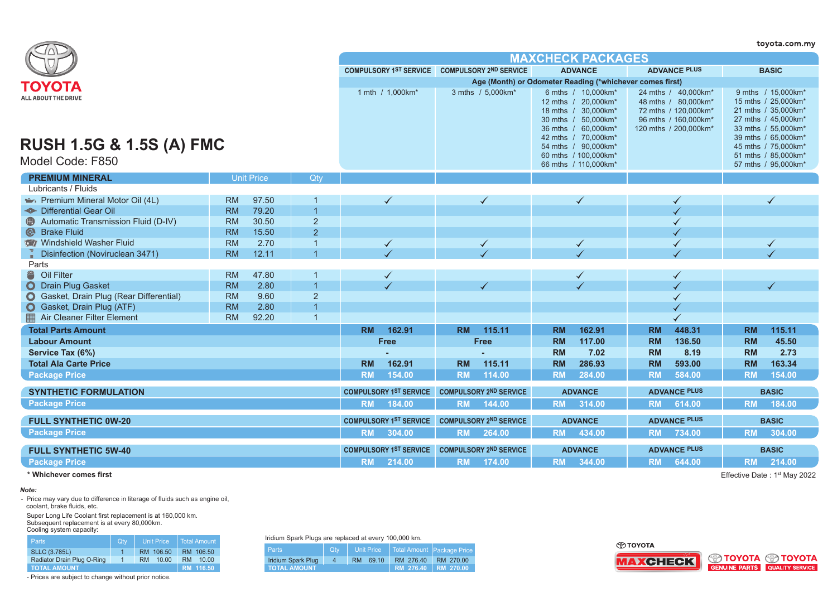|                                                                                                 |           |                   |                |                                               |  |                                      |                               |           |                                                                                                                                                                                      |           |                                                                                                                     |           | toyota.com.my                                                                                                                                                                       |
|-------------------------------------------------------------------------------------------------|-----------|-------------------|----------------|-----------------------------------------------|--|--------------------------------------|-------------------------------|-----------|--------------------------------------------------------------------------------------------------------------------------------------------------------------------------------------|-----------|---------------------------------------------------------------------------------------------------------------------|-----------|-------------------------------------------------------------------------------------------------------------------------------------------------------------------------------------|
|                                                                                                 |           |                   |                |                                               |  |                                      |                               |           | <b>MAXCHECK PACKAGES</b>                                                                                                                                                             |           |                                                                                                                     |           |                                                                                                                                                                                     |
|                                                                                                 |           |                   |                | COMPULSORY 1ST SERVICE COMPULSORY 2ND SERVICE |  |                                      |                               |           | <b>ADVANCE</b>                                                                                                                                                                       |           | <b>ADVANCE PLUS</b>                                                                                                 |           | <b>BASIC</b>                                                                                                                                                                        |
|                                                                                                 |           |                   |                |                                               |  |                                      |                               |           | Age (Month) or Odometer Reading (*whichever comes first)                                                                                                                             |           |                                                                                                                     |           |                                                                                                                                                                                     |
| ΤΟΥΟΤΑ<br><b>ALL ABOUT THE DRIVE</b><br><b>RUSH 1.5G &amp; 1.5S (A) FMC</b><br>Model Code: F850 |           |                   |                | 1 mth / 1,000km*                              |  |                                      | 3 mths / 5.000km*             |           | 6 mths / 10,000km*<br>12 mths / 20,000km*<br>18 mths / 30,000km*<br>30 mths / 50,000km*<br>36 mths / 60,000km*<br>42 mths / 70,000km*<br>54 mths / 90,000km*<br>60 mths / 100,000km* |           | 24 mths / 40,000km*<br>48 mths / 80,000km*<br>72 mths / 120,000km*<br>96 mths / 160,000km*<br>120 mths / 200,000km* |           | 9 mths / 15,000km*<br>15 mths / 25,000km*<br>21 mths / 35,000km*<br>27 mths / 45,000km*<br>33 mths / 55,000km*<br>39 mths / 65,000km*<br>45 mths / 75,000km*<br>51 mths / 85,000km* |
| <b>PREMIUM MINERAL</b>                                                                          |           | <b>Unit Price</b> | Qty            |                                               |  |                                      |                               |           | 66 mths / 110,000km*                                                                                                                                                                 |           |                                                                                                                     |           | 57 mths / 95,000km*                                                                                                                                                                 |
| Lubricants / Fluids                                                                             |           |                   |                |                                               |  |                                      |                               |           |                                                                                                                                                                                      |           |                                                                                                                     |           |                                                                                                                                                                                     |
| Premium Mineral Motor Oil (4L)                                                                  | <b>RM</b> | 97.50             |                | $\checkmark$                                  |  |                                      | $\checkmark$                  |           | $\checkmark$                                                                                                                                                                         |           |                                                                                                                     |           | $\checkmark$                                                                                                                                                                        |
| <b>- Differential Gear Oil</b>                                                                  | <b>RM</b> | 79.20             | $\overline{1}$ |                                               |  |                                      |                               |           |                                                                                                                                                                                      |           |                                                                                                                     |           |                                                                                                                                                                                     |
| Automatic Transmission Fluid (D-IV)                                                             | <b>RM</b> | 30.50             | $\sqrt{2}$     |                                               |  |                                      |                               |           |                                                                                                                                                                                      |           |                                                                                                                     |           |                                                                                                                                                                                     |
| $\odot$<br><b>Brake Fluid</b>                                                                   | <b>RM</b> | 15.50             | $\overline{2}$ |                                               |  |                                      |                               |           |                                                                                                                                                                                      |           |                                                                                                                     |           |                                                                                                                                                                                     |
| Windshield Washer Fluid                                                                         | <b>RM</b> | 2.70              | $\overline{1}$ | $\blacktriangledown$                          |  | $\blacktriangleleft$<br>$\checkmark$ |                               |           |                                                                                                                                                                                      |           | $\blacklozenge$                                                                                                     |           |                                                                                                                                                                                     |
| Disinfection (Noviruclean 3471)                                                                 | <b>RM</b> | 12.11             | $\overline{1}$ |                                               |  |                                      |                               |           |                                                                                                                                                                                      |           |                                                                                                                     |           |                                                                                                                                                                                     |
| Parts                                                                                           |           |                   |                |                                               |  |                                      |                               |           |                                                                                                                                                                                      |           |                                                                                                                     |           |                                                                                                                                                                                     |
| Oil Filter                                                                                      | <b>RM</b> | 47.80             |                | $\checkmark$                                  |  |                                      |                               |           | ✔                                                                                                                                                                                    |           | ✓                                                                                                                   |           |                                                                                                                                                                                     |
| O Drain Plug Gasket                                                                             | <b>RM</b> | 2.80              | $\overline{1}$ |                                               |  |                                      |                               |           |                                                                                                                                                                                      |           |                                                                                                                     |           |                                                                                                                                                                                     |
| Gasket, Drain Plug (Rear Differential)<br>$\mathbf{O}$                                          | <b>RM</b> | 9.60              | $\overline{2}$ |                                               |  |                                      |                               |           |                                                                                                                                                                                      |           |                                                                                                                     |           |                                                                                                                                                                                     |
| Gasket, Drain Plug (ATF)<br>$\bullet$                                                           | <b>RM</b> | 2.80              | $\overline{1}$ |                                               |  |                                      |                               |           |                                                                                                                                                                                      |           |                                                                                                                     |           |                                                                                                                                                                                     |
| Air Cleaner Filter Element                                                                      | <b>RM</b> | 92.20             | $\overline{1}$ |                                               |  |                                      |                               |           |                                                                                                                                                                                      |           |                                                                                                                     |           |                                                                                                                                                                                     |
| <b>Total Parts Amount</b>                                                                       |           |                   |                | <b>RM</b><br>162.91                           |  | <b>RM</b>                            | 115.11                        | <b>RM</b> | 162.91                                                                                                                                                                               | <b>RM</b> | 448.31                                                                                                              | <b>RM</b> | 115.11                                                                                                                                                                              |
| <b>Labour Amount</b>                                                                            |           |                   |                | <b>Free</b>                                   |  |                                      | Free                          | <b>RM</b> | 117.00                                                                                                                                                                               | <b>RM</b> | 136.50                                                                                                              | <b>RM</b> | 45.50                                                                                                                                                                               |
| Service Tax (6%)                                                                                |           |                   |                |                                               |  |                                      |                               | <b>RM</b> | 7.02                                                                                                                                                                                 | <b>RM</b> | 8.19                                                                                                                | <b>RM</b> | 2.73                                                                                                                                                                                |
| <b>Total Ala Carte Price</b>                                                                    |           |                   |                | 162.91<br><b>RM</b>                           |  | <b>RM</b>                            | 115.11                        | <b>RM</b> | 286.93                                                                                                                                                                               | <b>RM</b> | 593.00                                                                                                              | <b>RM</b> | 163.34                                                                                                                                                                              |
| <b>Package Price</b>                                                                            |           |                   |                | <b>RM</b><br>154.00                           |  | <b>RM</b>                            | 114.00                        | <b>RM</b> | 284.00                                                                                                                                                                               | <b>RM</b> | 584.00                                                                                                              | <b>RM</b> | 154.00                                                                                                                                                                              |
| <b>SYNTHETIC FORMULATION</b>                                                                    |           |                   |                | <b>COMPULSORY 1ST SERVICE</b>                 |  |                                      | <b>COMPULSORY 2ND SERVICE</b> |           | <b>ADVANCE</b>                                                                                                                                                                       |           | <b>ADVANCE PLUS</b>                                                                                                 |           | <b>BASIC</b>                                                                                                                                                                        |
| <b>Package Price</b>                                                                            |           |                   |                | 184.00<br><b>RM</b>                           |  | <b>RM</b>                            | 144.00                        | <b>RM</b> | 314.00                                                                                                                                                                               | <b>RM</b> | 614.00                                                                                                              | <b>RM</b> | 184.00                                                                                                                                                                              |
| <b>FULL SYNTHETIC 0W-20</b>                                                                     |           |                   |                | <b>COMPULSORY 1ST SERVICE</b>                 |  |                                      | <b>COMPULSORY 2ND SERVICE</b> |           | <b>ADVANCE</b>                                                                                                                                                                       |           | <b>ADVANCE PLUS</b>                                                                                                 |           | <b>BASIC</b>                                                                                                                                                                        |
| <b>Package Price</b>                                                                            |           |                   |                | 304.00<br><b>RM</b>                           |  | <b>RM</b>                            | 264.00                        | <b>RM</b> | 434.00                                                                                                                                                                               | <b>RM</b> | 734.00                                                                                                              | <b>RM</b> | 304.00                                                                                                                                                                              |
| <b>FULL SYNTHETIC 5W-40</b>                                                                     |           |                   |                | <b>COMPULSORY 1ST SERVICE</b>                 |  |                                      | <b>COMPULSORY 2ND SERVICE</b> |           | <b>ADVANCE</b>                                                                                                                                                                       |           | <b>ADVANCE PLUS</b>                                                                                                 |           | <b>BASIC</b>                                                                                                                                                                        |
| <b>Package Price</b>                                                                            |           |                   |                | 214.00<br><b>RM</b>                           |  | <b>RM</b>                            | 174.00                        | <b>RM</b> | 344.00                                                                                                                                                                               | <b>RM</b> | 644.00                                                                                                              | <b>RM</b> | 214.00                                                                                                                                                                              |
| * Whichever comes first                                                                         |           |                   |                |                                               |  |                                      |                               |           |                                                                                                                                                                                      |           |                                                                                                                     |           | Effective Date: 1 <sup>st</sup> May 2022                                                                                                                                            |

### **\* Whichever comes first**

#### *Note:*

- Price may vary due to difference in literage of fluids such as engine oil, coolant, brake fluids, etc.

Super Long Life Coolant first replacement is at 160,000 km. Subsequent replacement is at every 80,000km. Cooling system capacity:

| <b>Parts</b>               | Qty            | <b>Unit Price</b>  | Total Amount       |
|----------------------------|----------------|--------------------|--------------------|
| <b>SLLC (3.785L)</b>       |                | RM 106.50          | RM 106.50          |
| Radiator Drain Plug O-Ring | $\blacksquare$ | 10.00<br><b>RM</b> | 10.00<br><b>RM</b> |
| <b>TOTAL AMOUNT</b>        |                |                    | RM 116.50          |

- Prices are subject to change without prior notice.

Iridium Spark Plugs are replaced at every 100,000 km.

| <b>Parts</b>        | Qtv            | <b>Unit Price</b> | Total Amount Package Price |           |
|---------------------|----------------|-------------------|----------------------------|-----------|
| Iridium Spark Plug  | $\overline{4}$ | RM.<br>69.10      | RM 276.40                  | RM 270.00 |
| <b>TOTAL AMOUNT</b> |                |                   | RM 276.40   RM 270.00      |           |

⊕тоүотд



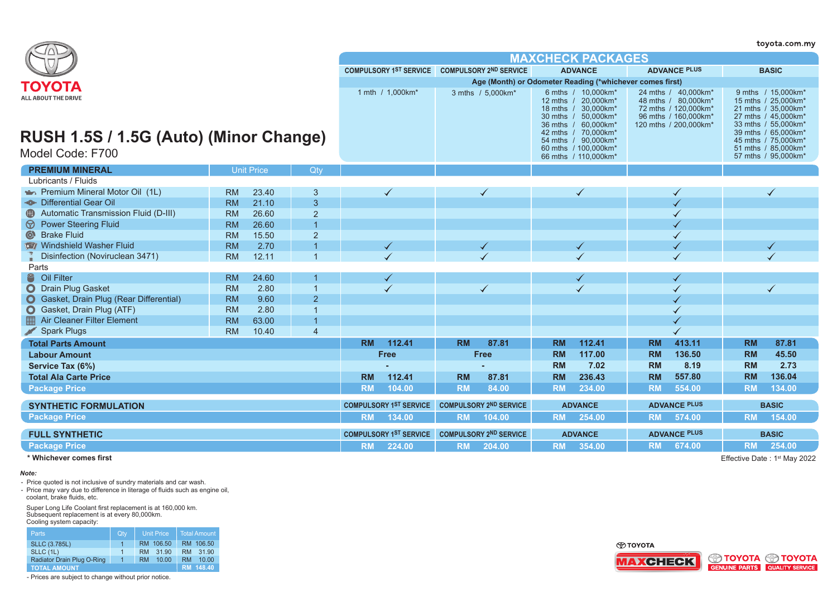|                                                            |           |                   |                               |                                                          |                               |                                               |                                             |                                                                                                          |                          |                                                                                                                     |              |                                                                                                                                       | toyota.com.my |  |  |
|------------------------------------------------------------|-----------|-------------------|-------------------------------|----------------------------------------------------------|-------------------------------|-----------------------------------------------|---------------------------------------------|----------------------------------------------------------------------------------------------------------|--------------------------|---------------------------------------------------------------------------------------------------------------------|--------------|---------------------------------------------------------------------------------------------------------------------------------------|---------------|--|--|
|                                                            |           |                   |                               |                                                          |                               |                                               |                                             |                                                                                                          | <b>MAXCHECK PACKAGES</b> |                                                                                                                     |              |                                                                                                                                       |               |  |  |
|                                                            |           |                   |                               |                                                          |                               | COMPULSORY 1ST SERVICE COMPULSORY 2ND SERVICE |                                             |                                                                                                          | <b>ADVANCE</b>           | <b>ADVANCE PLUS</b>                                                                                                 |              |                                                                                                                                       | <b>BASIC</b>  |  |  |
|                                                            |           |                   |                               | Age (Month) or Odometer Reading (*whichever comes first) |                               |                                               |                                             |                                                                                                          |                          |                                                                                                                     |              |                                                                                                                                       |               |  |  |
| TOYOTA<br>ALL ABOUT THE DRIVE                              |           |                   |                               | 1 mth / 1,000km*                                         |                               | 3 mths / 5,000km*                             | 18 mths $/$<br>$30$ mths /<br>$36$ mths $/$ | 6 mths / 10,000 km*<br>12 mths / 20,000km*<br>30.000km*<br>50.000km*<br>60,000km*<br>42 mths / 70,000km* |                          | 24 mths / 40,000km*<br>48 mths / 80,000km*<br>72 mths / 120,000km*<br>96 mths / 160.000km*<br>120 mths / 200,000km* |              | 9 mths / 15,000km*<br>15 mths / 25,000km*<br>21 mths / 35,000km*<br>27 mths / 45.000km*<br>33 mths / 55,000km*<br>39 mths / 65,000km* |               |  |  |
| RUSH 1.5S / 1.5G (Auto) (Minor Change)<br>Model Code: F700 |           |                   |                               |                                                          |                               |                                               |                                             | 54 mths / 90,000km*<br>60 mths / 100.000 km*<br>66 mths / 110,000km*                                     |                          |                                                                                                                     |              | 45 mths / 75,000km*<br>51 mths / 85.000 km*<br>57 mths / 95,000km*                                                                    |               |  |  |
| <b>PREMIUM MINERAL</b>                                     |           | <b>Unit Price</b> | Qtv                           |                                                          |                               |                                               |                                             |                                                                                                          |                          |                                                                                                                     |              |                                                                                                                                       |               |  |  |
| Lubricants / Fluids                                        |           |                   |                               |                                                          |                               |                                               |                                             |                                                                                                          |                          |                                                                                                                     |              |                                                                                                                                       |               |  |  |
| Premium Mineral Motor Oil (1L)                             | <b>RM</b> | 23.40             | 3                             |                                                          |                               |                                               | $\checkmark$                                |                                                                                                          | $\checkmark$             |                                                                                                                     |              |                                                                                                                                       | $\checkmark$  |  |  |
| - <sup>®</sup> - Differential Gear Oil                     | <b>RM</b> | 21.10             | 3                             |                                                          |                               |                                               |                                             |                                                                                                          |                          |                                                                                                                     |              |                                                                                                                                       |               |  |  |
| Automatic Transmission Fluid (D-III)<br>$\bigoplus$        | <b>RM</b> | 26.60             | $\overline{2}$                |                                                          |                               |                                               |                                             |                                                                                                          |                          |                                                                                                                     |              |                                                                                                                                       |               |  |  |
| <b>Power Steering Fluid</b><br>$\circledcirc$              | <b>RM</b> | 26.60             | $\overline{1}$                |                                                          |                               |                                               |                                             |                                                                                                          |                          |                                                                                                                     |              |                                                                                                                                       |               |  |  |
| Strake Fluid                                               | <b>RM</b> | 15.50             | $\overline{2}$                |                                                          |                               |                                               |                                             |                                                                                                          |                          |                                                                                                                     |              |                                                                                                                                       |               |  |  |
| Windshield Washer Fluid                                    | <b>RM</b> | 2.70              |                               |                                                          |                               |                                               |                                             |                                                                                                          | $\checkmark$             |                                                                                                                     |              |                                                                                                                                       |               |  |  |
| Disinfection (Noviruclean 3471)                            | <b>RM</b> | 12.11             |                               |                                                          |                               |                                               |                                             |                                                                                                          |                          |                                                                                                                     |              |                                                                                                                                       |               |  |  |
| Parts                                                      |           |                   |                               |                                                          |                               |                                               |                                             |                                                                                                          |                          |                                                                                                                     |              |                                                                                                                                       |               |  |  |
| 8<br>Oil Filter                                            | <b>RM</b> | 24.60             |                               |                                                          |                               |                                               |                                             |                                                                                                          |                          |                                                                                                                     |              |                                                                                                                                       |               |  |  |
| $\mathbf{O}$<br><b>Drain Plug Gasket</b>                   | <b>RM</b> | 2.80              | $\overline{1}$                |                                                          |                               |                                               | $\checkmark$                                |                                                                                                          |                          |                                                                                                                     |              |                                                                                                                                       | $\checkmark$  |  |  |
| Gasket, Drain Plug (Rear Differential)                     | <b>RM</b> | 9.60              | $\overline{2}$                |                                                          |                               |                                               |                                             |                                                                                                          |                          |                                                                                                                     |              |                                                                                                                                       |               |  |  |
| Gasket, Drain Plug (ATF)<br>$\mathbf O$                    | <b>RM</b> | 2.80              | $\overline{1}$                |                                                          |                               |                                               |                                             |                                                                                                          |                          |                                                                                                                     |              |                                                                                                                                       |               |  |  |
| <b>Air Cleaner Filter Element</b>                          | <b>RM</b> | 63.00             | $\overline{1}$                |                                                          |                               |                                               |                                             |                                                                                                          |                          |                                                                                                                     |              |                                                                                                                                       |               |  |  |
| <b>Spark Plugs</b>                                         | <b>RM</b> | 10.40             | $\overline{4}$                |                                                          |                               |                                               |                                             |                                                                                                          |                          |                                                                                                                     |              |                                                                                                                                       |               |  |  |
| <b>Total Parts Amount</b>                                  |           |                   |                               | <b>RM</b>                                                | 112.41                        | <b>RM</b>                                     | 87.81                                       | <b>RM</b>                                                                                                | 112.41                   | <b>RM</b>                                                                                                           | 413.11       | <b>RM</b>                                                                                                                             | 87.81         |  |  |
| <b>Labour Amount</b>                                       |           |                   |                               |                                                          | <b>Free</b>                   |                                               | Free                                        | <b>RM</b>                                                                                                | 117.00                   | <b>RM</b>                                                                                                           | 136.50       | <b>RM</b>                                                                                                                             | 45.50         |  |  |
| Service Tax (6%)                                           |           |                   |                               |                                                          |                               |                                               |                                             | <b>RM</b>                                                                                                | 7.02                     | <b>RM</b>                                                                                                           | 8.19         | <b>RM</b>                                                                                                                             | 2.73          |  |  |
| <b>Total Ala Carte Price</b>                               |           |                   |                               | <b>RM</b>                                                | 112.41                        | <b>RM</b>                                     | 87.81                                       | <b>RM</b>                                                                                                | 236.43                   | <b>RM</b>                                                                                                           | 557.80       | <b>RM</b>                                                                                                                             | 136.04        |  |  |
| <b>Package Price</b>                                       |           |                   |                               | <b>RM</b>                                                | 104.00                        | <b>RM</b>                                     | 84.00                                       | <b>RM</b>                                                                                                | 234.00                   | <b>RM</b>                                                                                                           | 554.00       | <b>RM</b>                                                                                                                             | 134.00        |  |  |
| <b>SYNTHETIC FORMULATION</b>                               |           |                   | <b>COMPULSORY 1ST SERVICE</b> |                                                          | <b>COMPULSORY 2ND SERVICE</b> |                                               | <b>ADVANCE</b>                              |                                                                                                          | <b>ADVANCE PLUS</b>      |                                                                                                                     | <b>BASIC</b> |                                                                                                                                       |               |  |  |
| <b>Package Price</b>                                       |           |                   |                               | <b>RM</b>                                                | 134.00                        | <b>RM</b>                                     | 104.00                                      | <b>RM</b>                                                                                                | 254.00                   | <b>RM</b>                                                                                                           | 574.00       | <b>RM</b>                                                                                                                             | 154.00        |  |  |
| <b>FULL SYNTHETIC</b>                                      |           |                   |                               | <b>COMPULSORY 1ST SERVICE</b>                            | <b>COMPULSORY 2ND SERVICE</b> |                                               |                                             | <b>ADVANCE</b>                                                                                           | <b>ADVANCE PLUS</b>      |                                                                                                                     |              | <b>BASIC</b>                                                                                                                          |               |  |  |
| <b>Package Price</b>                                       |           |                   |                               | <b>RM</b>                                                | 224.00                        | <b>RM</b>                                     | 204.00                                      | <b>RM</b>                                                                                                | 354.00                   | <b>RM</b>                                                                                                           | 674.00       | <b>RM</b>                                                                                                                             | 254.00        |  |  |

# **\* Whichever comes first**

# *Note:*

- Price quoted is not inclusive of sundry materials and car wash.

- Price may vary due to difference in literage of fluids such as engine oil, coolant, brake fluids, etc.

Super Long Life Coolant first replacement is at 160,000 km. Subsequent replacement is at every 80,000km. Cooling system capacity:

| <b>Parts</b>               | Qty            | <b>Unit Price</b>  | Total Amount       |
|----------------------------|----------------|--------------------|--------------------|
| <b>SLLC (3.785L)</b>       | 1              | RM 106.50          | RM 106.50          |
| SLLC (1L)                  | 1.             | 31 90<br><b>RM</b> | 31.90<br><b>RM</b> |
| Radiator Drain Plug O-Ring | $\overline{1}$ | 10.00<br><b>RM</b> | 10.00<br><b>RM</b> |
| <b>TOTAL AMOUNT</b>        |                |                    | RM 148.40          |

- Prices are subject to change without prior notice.





Effective Date : 1st May 2022